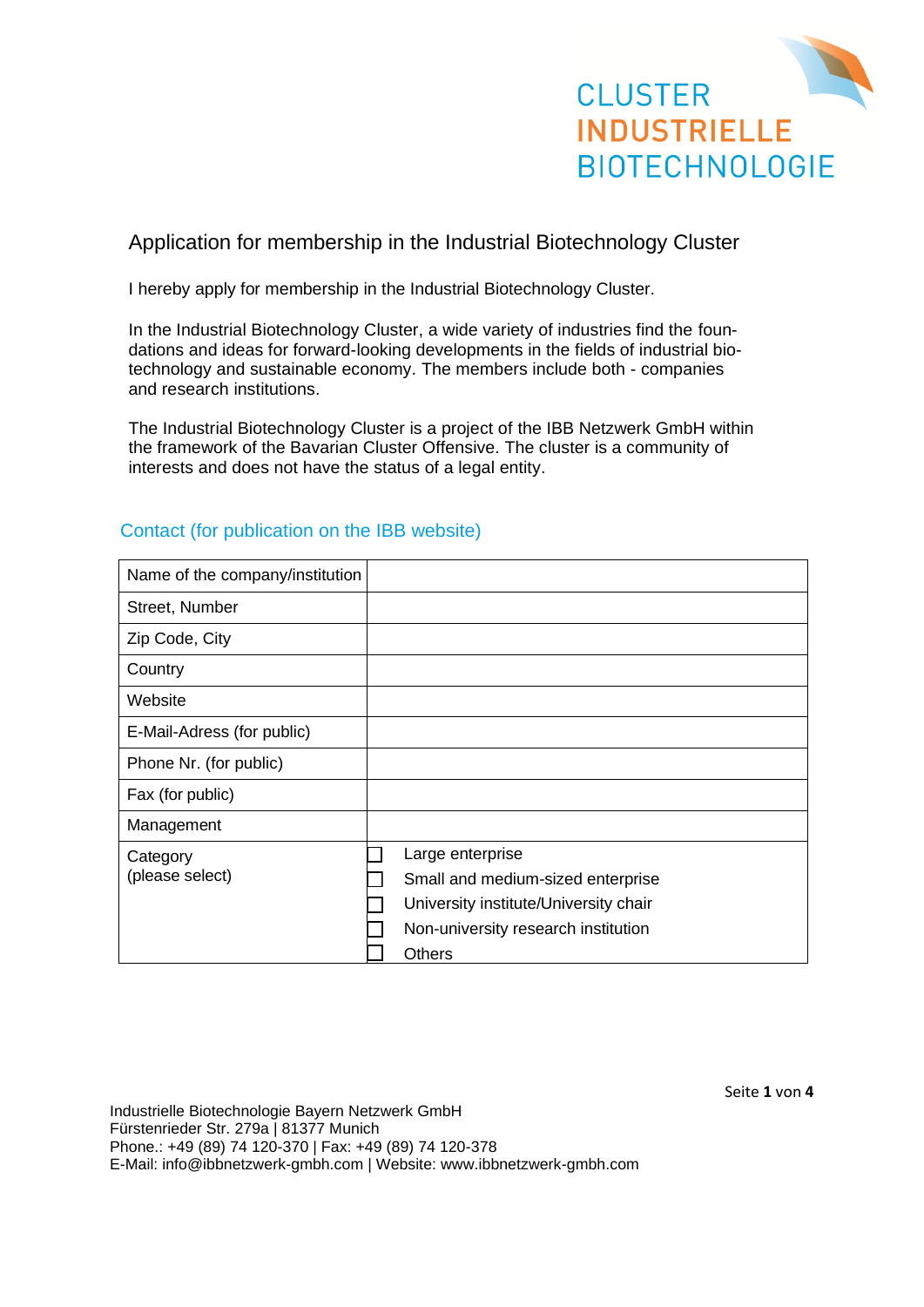

# Application for membership in the Industrial Biotechnology Cluster

I hereby apply for membership in the Industrial Biotechnology Cluster.

In the Industrial Biotechnology Cluster, a wide variety of industries find the foundations and ideas for forward-looking developments in the fields of industrial biotechnology and sustainable economy. The members include both - companies and research institutions.

The Industrial Biotechnology Cluster is a project of the IBB Netzwerk GmbH within the framework of the Bavarian Cluster Offensive. The cluster is a community of interests and does not have the status of a legal entity.

| Name of the company/institution |                                       |
|---------------------------------|---------------------------------------|
| Street, Number                  |                                       |
| Zip Code, City                  |                                       |
| Country                         |                                       |
| Website                         |                                       |
| E-Mail-Adress (for public)      |                                       |
| Phone Nr. (for public)          |                                       |
| Fax (for public)                |                                       |
| Management                      |                                       |
| Category                        | Large enterprise                      |
| (please select)                 | Small and medium-sized enterprise     |
|                                 | University institute/University chair |
|                                 | Non-university research institution   |
|                                 | Others                                |

#### Contact (for publication on the IBB website)

Industrielle Biotechnologie Bayern Netzwerk GmbH Fürstenrieder Str. 279a | 81377 Munich Phone.: +49 (89) 74 120-370 | Fax: +49 (89) 74 120-378 E-Mail: info@ibbnetzwerk-gmbh.com | Website: www.ibbnetzwerk-gmbh.com Seite **1** von **4**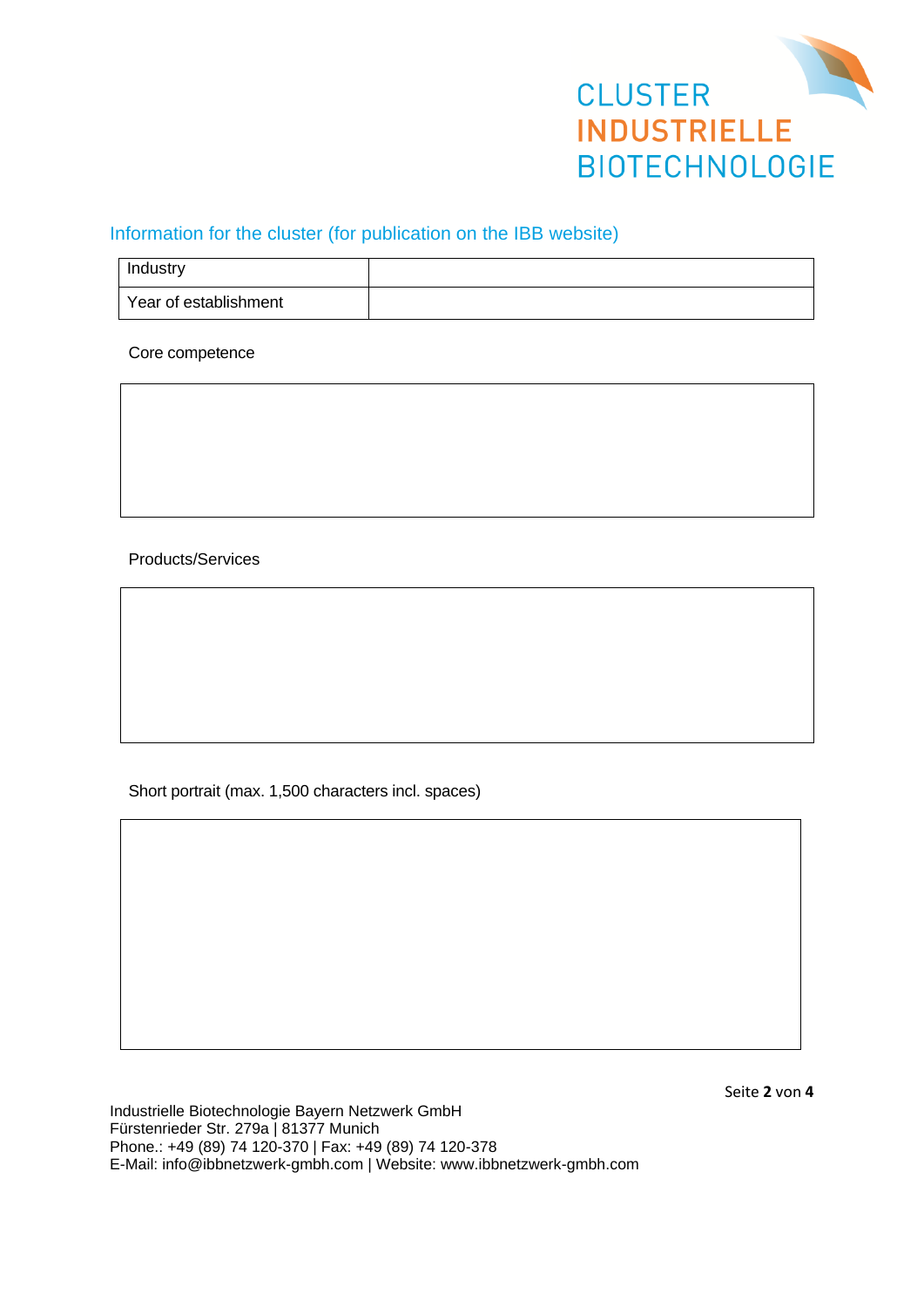

## Information for the cluster (for publication on the IBB website)

| Industry              |  |
|-----------------------|--|
| Year of establishment |  |

Core competence

Products/Services

Short portrait (max. 1,500 characters incl. spaces)

Seite **2** von **4**

Industrielle Biotechnologie Bayern Netzwerk GmbH Fürstenrieder Str. 279a | 81377 Munich Phone.: +49 (89) 74 120-370 | Fax: +49 (89) 74 120-378 E-Mail: info@ibbnetzwerk-gmbh.com | Website: www.ibbnetzwerk-gmbh.com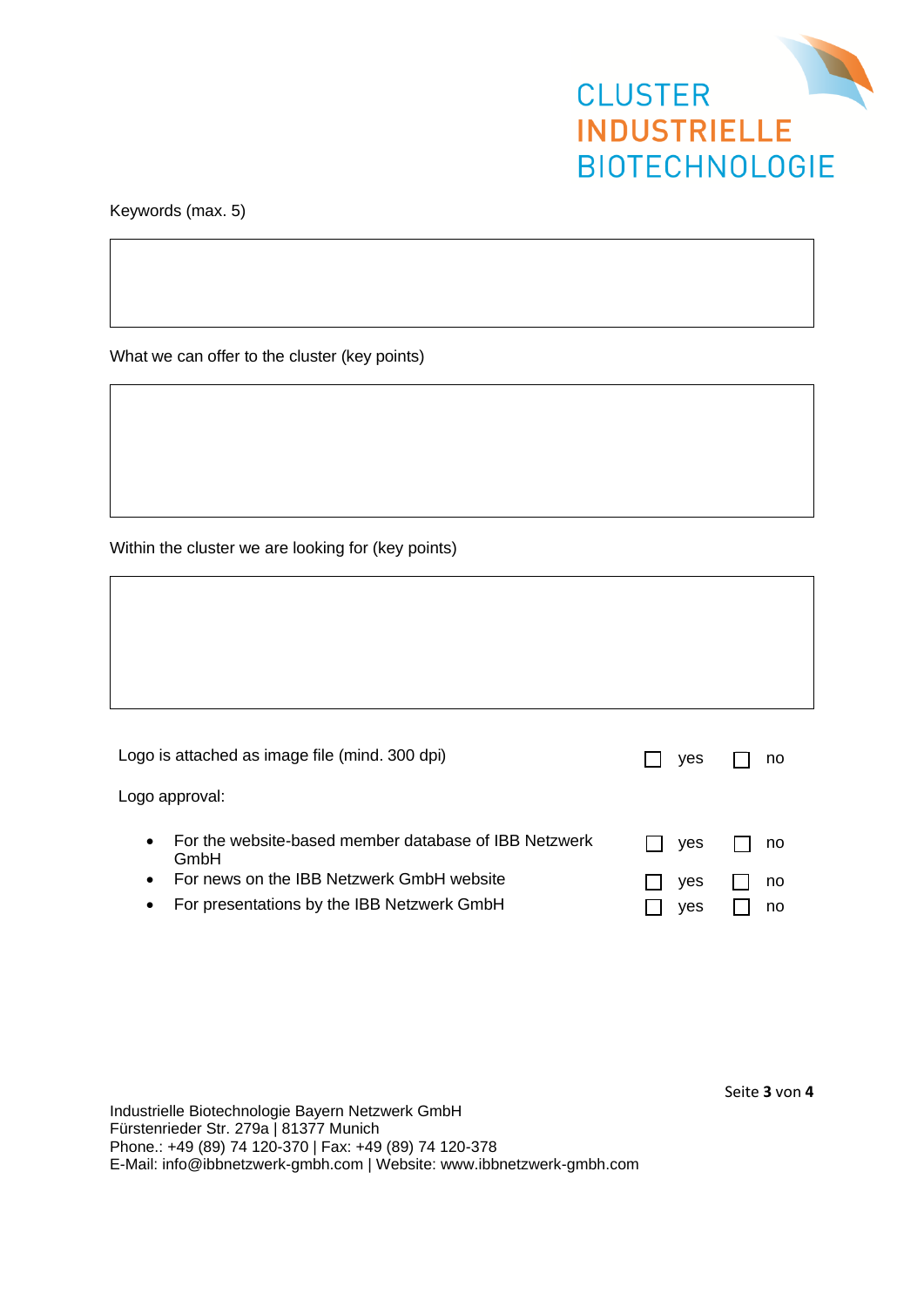

Keywords (max. 5)

What we can offer to the cluster (key points)

Within the cluster we are looking for (key points)

| Logo is attached as image file (mind. 300 dpi)                             | <b>ves</b> | no |
|----------------------------------------------------------------------------|------------|----|
| Logo approval:                                                             |            |    |
| For the website-based member database of IBB Netzwerk<br>$\bullet$<br>GmbH | <b>ves</b> | no |
| For news on the IBB Netzwerk GmbH website<br>$\bullet$                     | ves        | no |
| For presentations by the IBB Netzwerk GmbH<br>٠                            | yes        | no |

Industrielle Biotechnologie Bayern Netzwerk GmbH Fürstenrieder Str. 279a | 81377 Munich Phone.: +49 (89) 74 120-370 | Fax: +49 (89) 74 120-378 E-Mail: info@ibbnetzwerk-gmbh.com | Website: www.ibbnetzwerk-gmbh.com Seite **3** von **4**